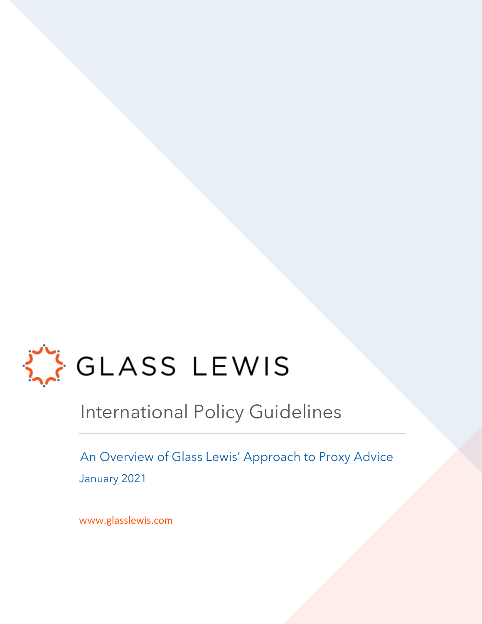

## International Policy Guidelines

An Overview of Glass Lewis' Approach to Proxy Advice

January 2021

www.glasslewis.com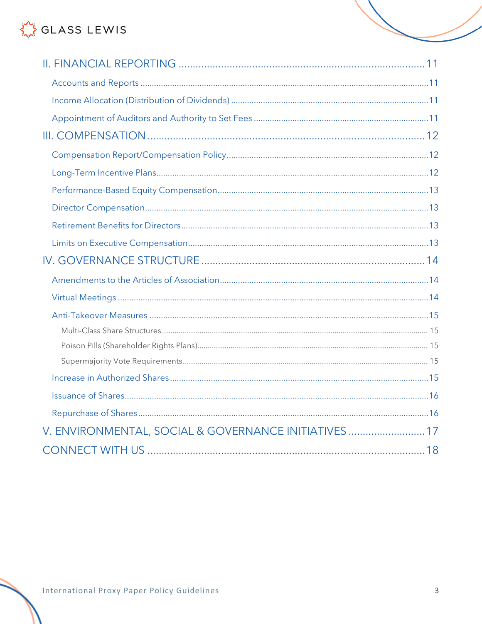| V. ENVIRONMENTAL, SOCIAL & GOVERNANCE INITIATIVES  17 |  |
|-------------------------------------------------------|--|
|                                                       |  |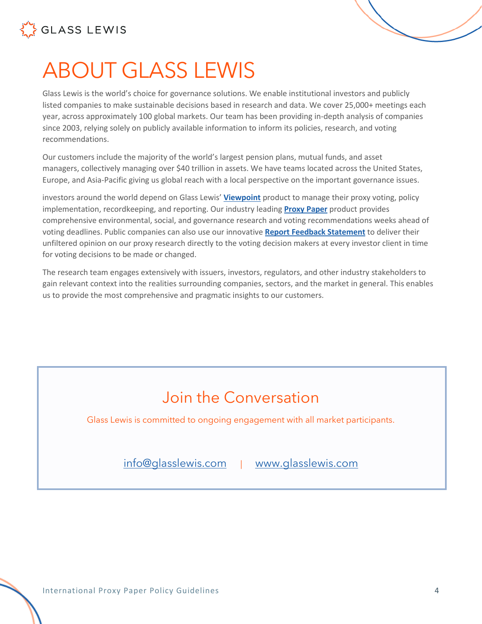

# <span id="page-3-0"></span>ABOUT GLASS LEWIS

Glass Lewis is the world's choice for governance solutions. We enable institutional investors and publicly listed companies to make sustainable decisions based in research and data. We cover 25,000+ meetings each year, across approximately 100 global markets. Our team has been providing in-depth analysis of companies since 2003, relying solely on publicly available information to inform its policies, research, and voting recommendations.

Our customers include the majority of the world's largest pension plans, mutual funds, and asset managers, collectively managing over \$40 trillion in assets. We have teams located across the United States, Europe, and Asia-Pacific giving us global reach with a local perspective on the important governance issues.

investors around the world depend on Glass Lewis' **[Viewpoint](https://www.glasslewis.com/proxy-voting-2/)** product to manage their proxy voting, policy implementation, recordkeeping, and reporting. Our industry leading **[Proxy Paper](https://www.glasslewis.com/proxy-research-3/)** product provides comprehensive environmental, social, and governance research and voting recommendations weeks ahead of voting deadlines. Public companies can also use our innovative **[Report Feedback Statement](https://www.glasslewis.com/report-feedback-statement/)** to deliver their unfiltered opinion on our proxy research directly to the voting decision makers at every investor client in time for voting decisions to be made or changed.

The research team engages extensively with issuers, investors, regulators, and other industry stakeholders to gain relevant context into the realities surrounding companies, sectors, and the market in general. This enables us to provide the most comprehensive and pragmatic insights to our customers.

## Join the Conversation

Glass Lewis is committed to ongoing engagement with all market participants.

[info@glasslewis.com](mailto:info@glasslewis.com) | [www.glasslewis.com](http://www.glasslewis.com/)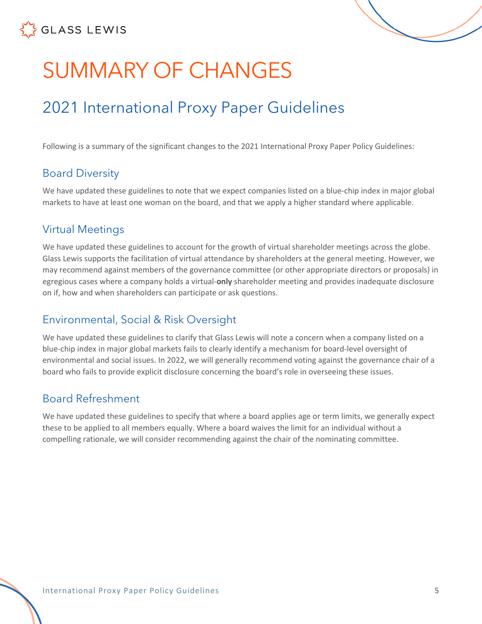

# <span id="page-4-0"></span>SUMMARY OF CHANGES

## 2021 International Proxy Paper Guidelines

Following is a summary of the significant changes to the 2021 International Proxy Paper Policy Guidelines:

## <span id="page-4-1"></span>Board Diversity

We have updated these guidelines to note that we expect companies listed on a blue-chip index in major global markets to have at least one woman on the board, and that we apply a higher standard where applicable.

## <span id="page-4-2"></span>Virtual Meetings

We have updated these guidelines to account for the growth of virtual shareholder meetings across the globe. Glass Lewis supports the facilitation of virtual attendance by shareholders at the general meeting. However, we may recommend against members of the governance committee (or other appropriate directors or proposals) in egregious cases where a company holds a virtual-**only** shareholder meeting and provides inadequate disclosure on if, how and when shareholders can participate or ask questions.

## <span id="page-4-3"></span>Environmental, Social & Risk Oversight

We have updated these guidelines to clarify that Glass Lewis will note a concern when a company listed on a blue-chip index in major global markets fails to clearly identify a mechanism for board-level oversight of environmental and social issues. In 2022, we will generally recommend voting against the governance chair of a board who fails to provide explicit disclosure concerning the board's role in overseeing these issues.

## <span id="page-4-4"></span>Board Refreshment

We have updated these guidelines to specify that where a board applies age or term limits, we generally expect these to be applied to all members equally. Where a board waives the limit for an individual without a compelling rationale, we will consider recommending against the chair of the nominating committee.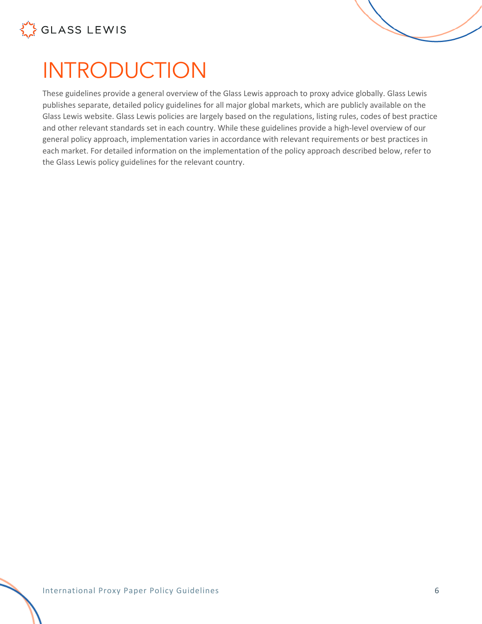



## <span id="page-5-0"></span>INTRODUCTION

These guidelines provide a general overview of the Glass Lewis approach to proxy advice globally. Glass Lewis publishes separate, detailed policy guidelines for all major global markets, which are publicly available on the Glass Lewis website. Glass Lewis policies are largely based on the regulations, listing rules, codes of best practice and other relevant standards set in each country. While these guidelines provide a high-level overview of our general policy approach, implementation varies in accordance with relevant requirements or best practices in each market. For detailed information on the implementation of the policy approach described below, refer to the Glass Lewis policy guidelines for the relevant country.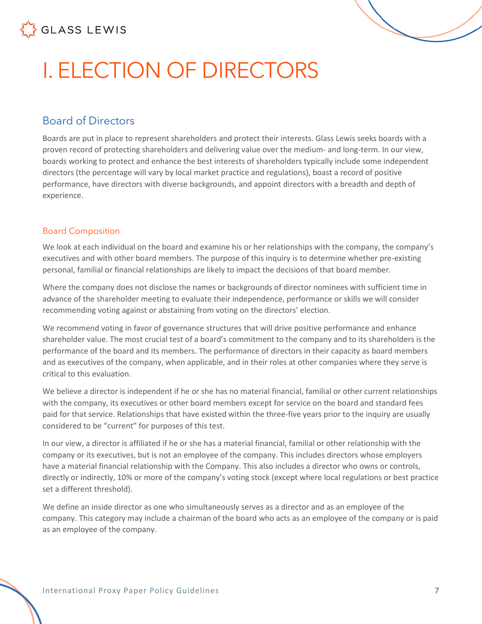

# <span id="page-6-0"></span>I. ELECTION OF DIRECTORS

## <span id="page-6-1"></span>Board of Directors

Boards are put in place to represent shareholders and protect their interests. Glass Lewis seeks boards with a proven record of protecting shareholders and delivering value over the medium- and long-term. In our view, boards working to protect and enhance the best interests of shareholders typically include some independent directors (the percentage will vary by local market practice and regulations), boast a record of positive performance, have directors with diverse backgrounds, and appoint directors with a breadth and depth of experience.

#### <span id="page-6-2"></span>Board Composition

We look at each individual on the board and examine his or her relationships with the company, the company's executives and with other board members. The purpose of this inquiry is to determine whether pre-existing personal, familial or financial relationships are likely to impact the decisions of that board member.

Where the company does not disclose the names or backgrounds of director nominees with sufficient time in advance of the shareholder meeting to evaluate their independence, performance or skills we will consider recommending voting against or abstaining from voting on the directors' election.

We recommend voting in favor of governance structures that will drive positive performance and enhance shareholder value. The most crucial test of a board's commitment to the company and to its shareholders is the performance of the board and its members. The performance of directors in their capacity as board members and as executives of the company, when applicable, and in their roles at other companies where they serve is critical to this evaluation.

We believe a director is independent if he or she has no material financial, familial or other current relationships with the company, its executives or other board members except for service on the board and standard fees paid for that service. Relationships that have existed within the three-five years prior to the inquiry are usually considered to be "current" for purposes of this test.

In our view, a director is affiliated if he or she has a material financial, familial or other relationship with the company or its executives, but is not an employee of the company. This includes directors whose employers have a material financial relationship with the Company. This also includes a director who owns or controls, directly or indirectly, 10% or more of the company's voting stock (except where local regulations or best practice set a different threshold).

We define an inside director as one who simultaneously serves as a director and as an employee of the company. This category may include a chairman of the board who acts as an employee of the company or is paid as an employee of the company.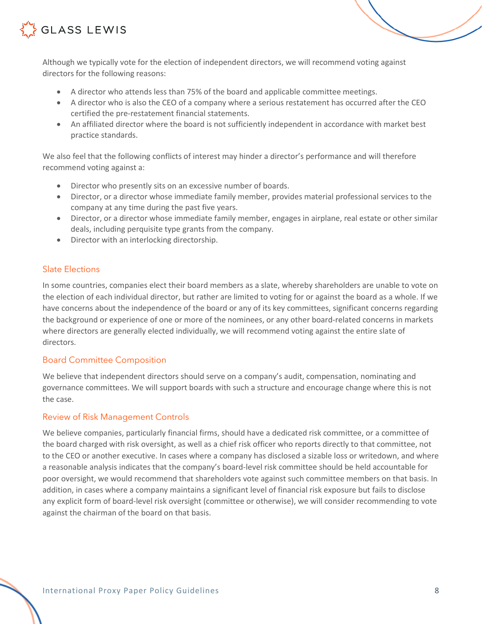

Although we typically vote for the election of independent directors, we will recommend voting against directors for the following reasons:

- A director who attends less than 75% of the board and applicable committee meetings.
- A director who is also the CEO of a company where a serious restatement has occurred after the CEO certified the pre-restatement financial statements.
- An affiliated director where the board is not sufficiently independent in accordance with market best practice standards.

We also feel that the following conflicts of interest may hinder a director's performance and will therefore recommend voting against a:

- Director who presently sits on an excessive number of boards.
- Director, or a director whose immediate family member, provides material professional services to the company at any time during the past five years.
- Director, or a director whose immediate family member, engages in airplane, real estate or other similar deals, including perquisite type grants from the company.
- Director with an interlocking directorship.

#### <span id="page-7-0"></span>Slate Elections

In some countries, companies elect their board members as a slate, whereby shareholders are unable to vote on the election of each individual director, but rather are limited to voting for or against the board as a whole. If we have concerns about the independence of the board or any of its key committees, significant concerns regarding the background or experience of one or more of the nominees, or any other board-related concerns in markets where directors are generally elected individually, we will recommend voting against the entire slate of directors.

#### <span id="page-7-1"></span>Board Committee Composition

We believe that independent directors should serve on a company's audit, compensation, nominating and governance committees. We will support boards with such a structure and encourage change where this is not the case.

#### <span id="page-7-2"></span>Review of Risk Management Controls

We believe companies, particularly financial firms, should have a dedicated risk committee, or a committee of the board charged with risk oversight, as well as a chief risk officer who reports directly to that committee, not to the CEO or another executive. In cases where a company has disclosed a sizable loss or writedown, and where a reasonable analysis indicates that the company's board-level risk committee should be held accountable for poor oversight, we would recommend that shareholders vote against such committee members on that basis. In addition, in cases where a company maintains a significant level of financial risk exposure but fails to disclose any explicit form of board-level risk oversight (committee or otherwise), we will consider recommending to vote against the chairman of the board on that basis.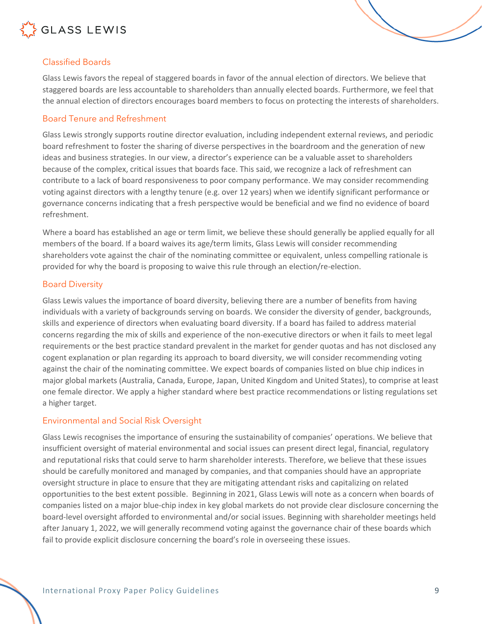

#### <span id="page-8-0"></span>Classified Boards

Glass Lewis favors the repeal of staggered boards in favor of the annual election of directors. We believe that staggered boards are less accountable to shareholders than annually elected boards. Furthermore, we feel that the annual election of directors encourages board members to focus on protecting the interests of shareholders.

#### <span id="page-8-1"></span>Board Tenure and Refreshment

Glass Lewis strongly supports routine director evaluation, including independent external reviews, and periodic board refreshment to foster the sharing of diverse perspectives in the boardroom and the generation of new ideas and business strategies. In our view, a director's experience can be a valuable asset to shareholders because of the complex, critical issues that boards face. This said, we recognize a lack of refreshment can contribute to a lack of board responsiveness to poor company performance. We may consider recommending voting against directors with a lengthy tenure (e.g. over 12 years) when we identify significant performance or governance concerns indicating that a fresh perspective would be beneficial and we find no evidence of board refreshment.

Where a board has established an age or term limit, we believe these should generally be applied equally for all members of the board. If a board waives its age/term limits, Glass Lewis will consider recommending shareholders vote against the chair of the nominating committee or equivalent, unless compelling rationale is provided for why the board is proposing to waive this rule through an election/re-election.

#### <span id="page-8-2"></span>Board Diversity

Glass Lewis values the importance of board diversity, believing there are a number of benefits from having individuals with a variety of backgrounds serving on boards. We consider the diversity of gender, backgrounds, skills and experience of directors when evaluating board diversity. If a board has failed to address material concerns regarding the mix of skills and experience of the non-executive directors or when it fails to meet legal requirements or the best practice standard prevalent in the market for gender quotas and has not disclosed any cogent explanation or plan regarding its approach to board diversity, we will consider recommending voting against the chair of the nominating committee. We expect boards of companies listed on blue chip indices in major global markets (Australia, Canada, Europe, Japan, United Kingdom and United States), to comprise at least one female director. We apply a higher standard where best practice recommendations or listing regulations set a higher target.

#### <span id="page-8-3"></span>Environmental and Social Risk Oversight

Glass Lewis recognises the importance of ensuring the sustainability of companies' operations. We believe that insufficient oversight of material environmental and social issues can present direct legal, financial, regulatory and reputational risks that could serve to harm shareholder interests. Therefore, we believe that these issues should be carefully monitored and managed by companies, and that companies should have an appropriate oversight structure in place to ensure that they are mitigating attendant risks and capitalizing on related opportunities to the best extent possible. Beginning in 2021, Glass Lewis will note as a concern when boards of companies listed on a major blue-chip index in key global markets do not provide clear disclosure concerning the board-level oversight afforded to environmental and/or social issues. Beginning with shareholder meetings held after January 1, 2022, we will generally recommend voting against the governance chair of these boards which fail to provide explicit disclosure concerning the board's role in overseeing these issues.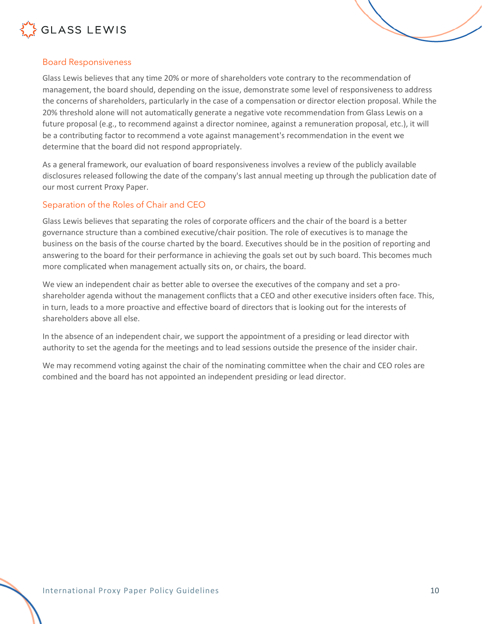

#### <span id="page-9-0"></span>Board Responsiveness

Glass Lewis believes that any time 20% or more of shareholders vote contrary to the recommendation of management, the board should, depending on the issue, demonstrate some level of responsiveness to address the concerns of shareholders, particularly in the case of a compensation or director election proposal. While the 20% threshold alone will not automatically generate a negative vote recommendation from Glass Lewis on a future proposal (e.g., to recommend against a director nominee, against a remuneration proposal, etc.), it will be a contributing factor to recommend a vote against management's recommendation in the event we determine that the board did not respond appropriately.

As a general framework, our evaluation of board responsiveness involves a review of the publicly available disclosures released following the date of the company's last annual meeting up through the publication date of our most current Proxy Paper.

#### <span id="page-9-1"></span>Separation of the Roles of Chair and CEO

Glass Lewis believes that separating the roles of corporate officers and the chair of the board is a better governance structure than a combined executive/chair position. The role of executives is to manage the business on the basis of the course charted by the board. Executives should be in the position of reporting and answering to the board for their performance in achieving the goals set out by such board. This becomes much more complicated when management actually sits on, or chairs, the board.

We view an independent chair as better able to oversee the executives of the company and set a proshareholder agenda without the management conflicts that a CEO and other executive insiders often face. This, in turn, leads to a more proactive and effective board of directors that is looking out for the interests of shareholders above all else.

In the absence of an independent chair, we support the appointment of a presiding or lead director with authority to set the agenda for the meetings and to lead sessions outside the presence of the insider chair.

We may recommend voting against the chair of the nominating committee when the chair and CEO roles are combined and the board has not appointed an independent presiding or lead director.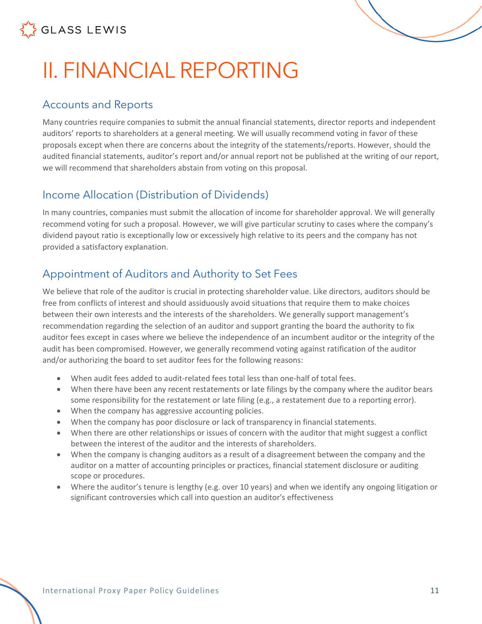

# <span id="page-10-0"></span>II. FINANCIAL REPORTING

### <span id="page-10-1"></span>Accounts and Reports

Many countries require companies to submit the annual financial statements, director reports and independent auditors' reports to shareholders at a general meeting. We will usually recommend voting in favor of these proposals except when there are concerns about the integrity of the statements/reports. However, should the audited financial statements, auditor's report and/or annual report not be published at the writing of our report, we will recommend that shareholders abstain from voting on this proposal.

## <span id="page-10-2"></span>Income Allocation (Distribution of Dividends)

In many countries, companies must submit the allocation of income for shareholder approval. We will generally recommend voting for such a proposal. However, we will give particular scrutiny to cases where the company's dividend payout ratio is exceptionally low or excessively high relative to its peers and the company has not provided a satisfactory explanation.

## <span id="page-10-3"></span>Appointment of Auditors and Authority to Set Fees

We believe that role of the auditor is crucial in protecting shareholder value. Like directors, auditors should be free from conflicts of interest and should assiduously avoid situations that require them to make choices between their own interests and the interests of the shareholders. We generally support management's recommendation regarding the selection of an auditor and support granting the board the authority to fix auditor fees except in cases where we believe the independence of an incumbent auditor or the integrity of the audit has been compromised. However, we generally recommend voting against ratification of the auditor and/or authorizing the board to set auditor fees for the following reasons:

- When audit fees added to audit-related fees total less than one-half of total fees.
- When there have been any recent restatements or late filings by the company where the auditor bears some responsibility for the restatement or late filing (e.g., a restatement due to a reporting error).
- When the company has aggressive accounting policies.
- When the company has poor disclosure or lack of transparency in financial statements.
- When there are other relationships or issues of concern with the auditor that might suggest a conflict between the interest of the auditor and the interests of shareholders.
- When the company is changing auditors as a result of a disagreement between the company and the auditor on a matter of accounting principles or practices, financial statement disclosure or auditing scope or procedures.
- Where the auditor's tenure is lengthy (e.g. over 10 years) and when we identify any ongoing litigation or significant controversies which call into question an auditor's effectiveness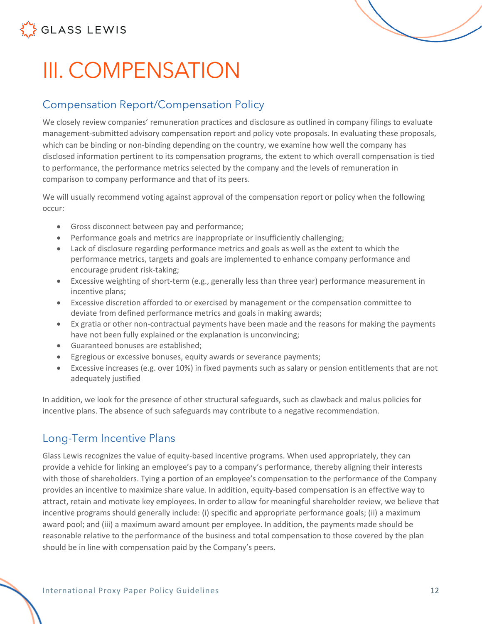

# <span id="page-11-0"></span>III. COMPENSATION

## <span id="page-11-1"></span>Compensation Report/Compensation Policy

We closely review companies' remuneration practices and disclosure as outlined in company filings to evaluate management-submitted advisory compensation report and policy vote proposals. In evaluating these proposals, which can be binding or non-binding depending on the country, we examine how well the company has disclosed information pertinent to its compensation programs, the extent to which overall compensation is tied to performance, the performance metrics selected by the company and the levels of remuneration in comparison to company performance and that of its peers.

We will usually recommend voting against approval of the compensation report or policy when the following occur:

- Gross disconnect between pay and performance;
- Performance goals and metrics are inappropriate or insufficiently challenging;
- Lack of disclosure regarding performance metrics and goals as well as the extent to which the performance metrics, targets and goals are implemented to enhance company performance and encourage prudent risk-taking;
- Excessive weighting of short-term (e.g., generally less than three year) performance measurement in incentive plans;
- Excessive discretion afforded to or exercised by management or the compensation committee to deviate from defined performance metrics and goals in making awards;
- Ex gratia or other non-contractual payments have been made and the reasons for making the payments have not been fully explained or the explanation is unconvincing;
- Guaranteed bonuses are established;
- Egregious or excessive bonuses, equity awards or severance payments;
- Excessive increases (e.g. over 10%) in fixed payments such as salary or pension entitlements that are not adequately justified

In addition, we look for the presence of other structural safeguards, such as clawback and malus policies for incentive plans. The absence of such safeguards may contribute to a negative recommendation.

## <span id="page-11-2"></span>Long-Term Incentive Plans

Glass Lewis recognizes the value of equity-based incentive programs. When used appropriately, they can provide a vehicle for linking an employee's pay to a company's performance, thereby aligning their interests with those of shareholders. Tying a portion of an employee's compensation to the performance of the Company provides an incentive to maximize share value. In addition, equity-based compensation is an effective way to attract, retain and motivate key employees. In order to allow for meaningful shareholder review, we believe that incentive programs should generally include: (i) specific and appropriate performance goals; (ii) a maximum award pool; and (iii) a maximum award amount per employee. In addition, the payments made should be reasonable relative to the performance of the business and total compensation to those covered by the plan should be in line with compensation paid by the Company's peers.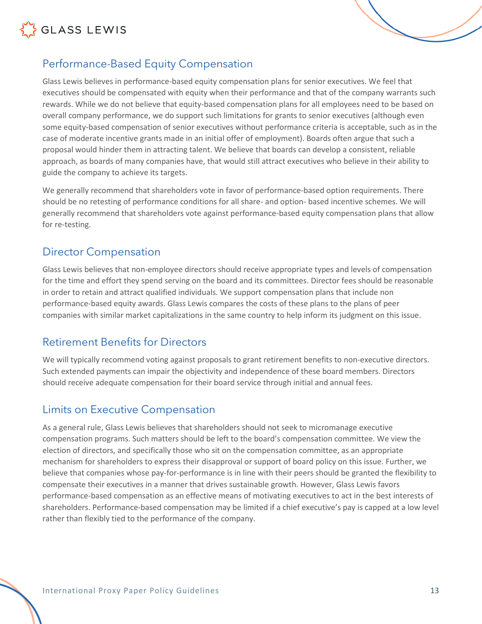

<span id="page-12-0"></span>

Glass Lewis believes in performance-based equity compensation plans for senior executives. We feel that executives should be compensated with equity when their performance and that of the company warrants such rewards. While we do not believe that equity-based compensation plans for all employees need to be based on overall company performance, we do support such limitations for grants to senior executives (although even some equity-based compensation of senior executives without performance criteria is acceptable, such as in the case of moderate incentive grants made in an initial offer of employment). Boards often argue that such a proposal would hinder them in attracting talent. We believe that boards can develop a consistent, reliable approach, as boards of many companies have, that would still attract executives who believe in their ability to guide the company to achieve its targets.

We generally recommend that shareholders vote in favor of performance-based option requirements. There should be no retesting of performance conditions for all share- and option- based incentive schemes. We will generally recommend that shareholders vote against performance-based equity compensation plans that allow for re-testing.

#### <span id="page-12-1"></span>Director Compensation

Glass Lewis believes that non-employee directors should receive appropriate types and levels of compensation for the time and effort they spend serving on the board and its committees. Director fees should be reasonable in order to retain and attract qualified individuals. We support compensation plans that include non performance-based equity awards. Glass Lewis compares the costs of these plans to the plans of peer companies with similar market capitalizations in the same country to help inform its judgment on this issue.

### <span id="page-12-2"></span>Retirement Benefits for Directors

We will typically recommend voting against proposals to grant retirement benefits to non-executive directors. Such extended payments can impair the objectivity and independence of these board members. Directors should receive adequate compensation for their board service through initial and annual fees.

### <span id="page-12-3"></span>Limits on Executive Compensation

As a general rule, Glass Lewis believes that shareholders should not seek to micromanage executive compensation programs. Such matters should be left to the board's compensation committee. We view the election of directors, and specifically those who sit on the compensation committee, as an appropriate mechanism for shareholders to express their disapproval or support of board policy on this issue. Further, we believe that companies whose pay-for-performance is in line with their peers should be granted the flexibility to compensate their executives in a manner that drives sustainable growth. However, Glass Lewis favors performance-based compensation as an effective means of motivating executives to act in the best interests of shareholders. Performance-based compensation may be limited if a chief executive's pay is capped at a low level rather than flexibly tied to the performance of the company.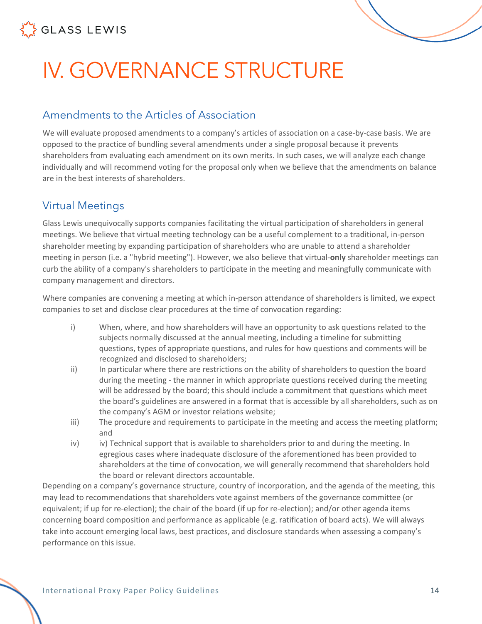

# <span id="page-13-0"></span>IV. GOVERNANCE STRUCTURE

### <span id="page-13-1"></span>Amendments to the Articles of Association

We will evaluate proposed amendments to a company's articles of association on a case-by-case basis. We are opposed to the practice of bundling several amendments under a single proposal because it prevents shareholders from evaluating each amendment on its own merits. In such cases, we will analyze each change individually and will recommend voting for the proposal only when we believe that the amendments on balance are in the best interests of shareholders.

### <span id="page-13-2"></span>Virtual Meetings

Glass Lewis unequivocally supports companies facilitating the virtual participation of shareholders in general meetings. We believe that virtual meeting technology can be a useful complement to a traditional, in-person shareholder meeting by expanding participation of shareholders who are unable to attend a shareholder meeting in person (i.e. a "hybrid meeting"). However, we also believe that virtual-**only** shareholder meetings can curb the ability of a company's shareholders to participate in the meeting and meaningfully communicate with company management and directors.

Where companies are convening a meeting at which in-person attendance of shareholders is limited, we expect companies to set and disclose clear procedures at the time of convocation regarding:

- i) When, where, and how shareholders will have an opportunity to ask questions related to the subjects normally discussed at the annual meeting, including a timeline for submitting questions, types of appropriate questions, and rules for how questions and comments will be recognized and disclosed to shareholders;
- ii) In particular where there are restrictions on the ability of shareholders to question the board during the meeting - the manner in which appropriate questions received during the meeting will be addressed by the board; this should include a commitment that questions which meet the board's guidelines are answered in a format that is accessible by all shareholders, such as on the company's AGM or investor relations website;
- iii) The procedure and requirements to participate in the meeting and access the meeting platform; and
- iv) iv) Technical support that is available to shareholders prior to and during the meeting. In egregious cases where inadequate disclosure of the aforementioned has been provided to shareholders at the time of convocation, we will generally recommend that shareholders hold the board or relevant directors accountable.

Depending on a company's governance structure, country of incorporation, and the agenda of the meeting, this may lead to recommendations that shareholders vote against members of the governance committee (or equivalent; if up for re-election); the chair of the board (if up for re-election); and/or other agenda items concerning board composition and performance as applicable (e.g. ratification of board acts). We will always take into account emerging local laws, best practices, and disclosure standards when assessing a company's performance on this issue.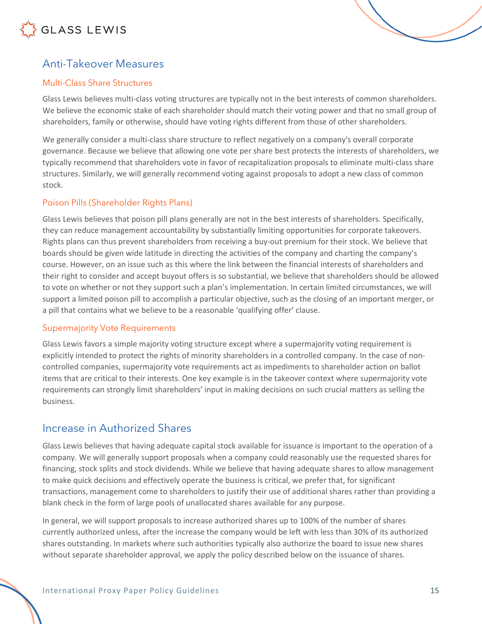## <span id="page-14-0"></span>Anti-Takeover Measures

#### <span id="page-14-1"></span>Multi-Class Share Structures

Glass Lewis believes multi-class voting structures are typically not in the best interests of common shareholders. We believe the economic stake of each shareholder should match their voting power and that no small group of shareholders, family or otherwise, should have voting rights different from those of other shareholders.

We generally consider a multi-class share structure to reflect negatively on a company's overall corporate governance. Because we believe that allowing one vote per share best protects the interests of shareholders, we typically recommend that shareholders vote in favor of recapitalization proposals to eliminate multi-class share structures. Similarly, we will generally recommend voting against proposals to adopt a new class of common stock.

#### <span id="page-14-2"></span>Poison Pills (Shareholder Rights Plans)

Glass Lewis believes that poison pill plans generally are not in the best interests of shareholders. Specifically, they can reduce management accountability by substantially limiting opportunities for corporate takeovers. Rights plans can thus prevent shareholders from receiving a buy-out premium for their stock. We believe that boards should be given wide latitude in directing the activities of the company and charting the company's course. However, on an issue such as this where the link between the financial interests of shareholders and their right to consider and accept buyout offers is so substantial, we believe that shareholders should be allowed to vote on whether or not they support such a plan's implementation. In certain limited circumstances, we will support a limited poison pill to accomplish a particular objective, such as the closing of an important merger, or a pill that contains what we believe to be a reasonable 'qualifying offer' clause.

#### <span id="page-14-3"></span>Supermajority Vote Requirements

Glass Lewis favors a simple majority voting structure except where a supermajority voting requirement is explicitly intended to protect the rights of minority shareholders in a controlled company. In the case of noncontrolled companies, supermajority vote requirements act as impediments to shareholder action on ballot items that are critical to their interests. One key example is in the takeover context where supermajority vote requirements can strongly limit shareholders' input in making decisions on such crucial matters as selling the business.

### <span id="page-14-4"></span>Increase in Authorized Shares

Glass Lewis believes that having adequate capital stock available for issuance is important to the operation of a company. We will generally support proposals when a company could reasonably use the requested shares for financing, stock splits and stock dividends. While we believe that having adequate shares to allow management to make quick decisions and effectively operate the business is critical, we prefer that, for significant transactions, management come to shareholders to justify their use of additional shares rather than providing a blank check in the form of large pools of unallocated shares available for any purpose.

In general, we will support proposals to increase authorized shares up to 100% of the number of shares currently authorized unless, after the increase the company would be left with less than 30% of its authorized shares outstanding. In markets where such authorities typically also authorize the board to issue new shares without separate shareholder approval, we apply the policy described below on the issuance of shares.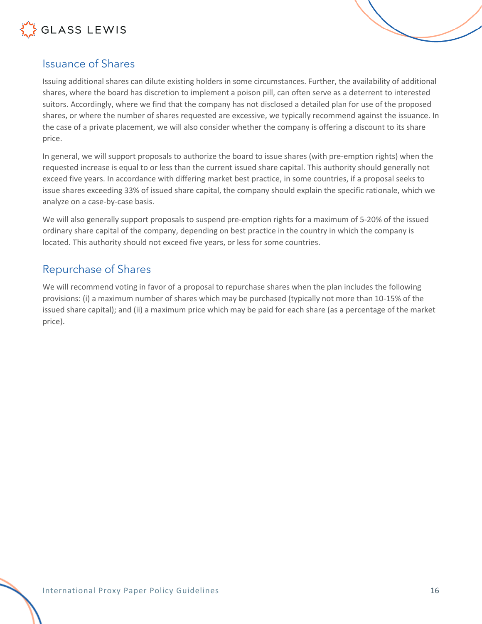

## <span id="page-15-0"></span>Issuance of Shares

Issuing additional shares can dilute existing holders in some circumstances. Further, the availability of additional shares, where the board has discretion to implement a poison pill, can often serve as a deterrent to interested suitors. Accordingly, where we find that the company has not disclosed a detailed plan for use of the proposed shares, or where the number of shares requested are excessive, we typically recommend against the issuance. In the case of a private placement, we will also consider whether the company is offering a discount to its share price.

In general, we will support proposals to authorize the board to issue shares (with pre-emption rights) when the requested increase is equal to or less than the current issued share capital. This authority should generally not exceed five years. In accordance with differing market best practice, in some countries, if a proposal seeks to issue shares exceeding 33% of issued share capital, the company should explain the specific rationale, which we analyze on a case-by-case basis.

We will also generally support proposals to suspend pre-emption rights for a maximum of 5-20% of the issued ordinary share capital of the company, depending on best practice in the country in which the company is located. This authority should not exceed five years, or less for some countries.

### <span id="page-15-1"></span>Repurchase of Shares

We will recommend voting in favor of a proposal to repurchase shares when the plan includes the following provisions: (i) a maximum number of shares which may be purchased (typically not more than 10-15% of the issued share capital); and (ii) a maximum price which may be paid for each share (as a percentage of the market price).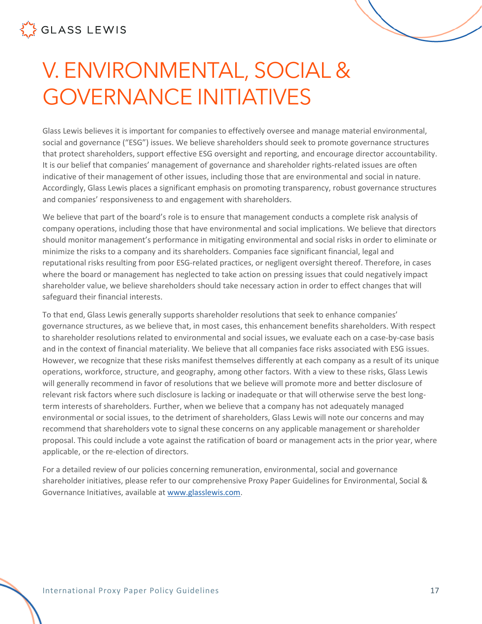# <span id="page-16-0"></span>V. ENVIRONMENTAL, SOCIAL & GOVERNANCE INITIATIVES

Glass Lewis believes it is important for companies to effectively oversee and manage material environmental, social and governance ("ESG") issues. We believe shareholders should seek to promote governance structures that protect shareholders, support effective ESG oversight and reporting, and encourage director accountability. It is our belief that companies' management of governance and shareholder rights-related issues are often indicative of their management of other issues, including those that are environmental and social in nature. Accordingly, Glass Lewis places a significant emphasis on promoting transparency, robust governance structures and companies' responsiveness to and engagement with shareholders.

We believe that part of the board's role is to ensure that management conducts a complete risk analysis of company operations, including those that have environmental and social implications. We believe that directors should monitor management's performance in mitigating environmental and social risks in order to eliminate or minimize the risks to a company and its shareholders. Companies face significant financial, legal and reputational risks resulting from poor ESG-related practices, or negligent oversight thereof. Therefore, in cases where the board or management has neglected to take action on pressing issues that could negatively impact shareholder value, we believe shareholders should take necessary action in order to effect changes that will safeguard their financial interests.

To that end, Glass Lewis generally supports shareholder resolutions that seek to enhance companies' governance structures, as we believe that, in most cases, this enhancement benefits shareholders. With respect to shareholder resolutions related to environmental and social issues, we evaluate each on a case-by-case basis and in the context of financial materiality. We believe that all companies face risks associated with ESG issues. However, we recognize that these risks manifest themselves differently at each company as a result of its unique operations, workforce, structure, and geography, among other factors. With a view to these risks, Glass Lewis will generally recommend in favor of resolutions that we believe will promote more and better disclosure of relevant risk factors where such disclosure is lacking or inadequate or that will otherwise serve the best longterm interests of shareholders. Further, when we believe that a company has not adequately managed environmental or social issues, to the detriment of shareholders, Glass Lewis will note our concerns and may recommend that shareholders vote to signal these concerns on any applicable management or shareholder proposal. This could include a vote against the ratification of board or management acts in the prior year, where applicable, or the re-election of directors.

For a detailed review of our policies concerning remuneration, environmental, social and governance shareholder initiatives, please refer to our comprehensive Proxy Paper Guidelines for Environmental, Social & Governance Initiatives, available at www.glasslewis.com.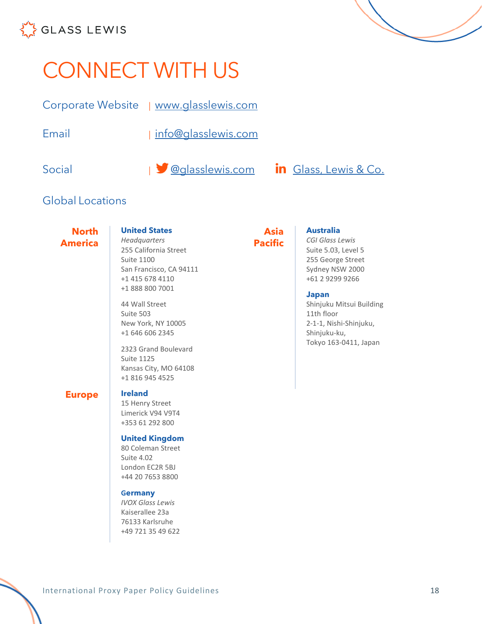

# <span id="page-17-0"></span>CONNECT WITH US

Corporate Website | [www.glasslewis.com](http://www.glasslewis.com/)

Email | [info@glasslewis.com](mailto:%20info@glasslewis.com)

Social  $\bigcup_{i=1}^{\infty} Q_{\text{Q}}$  asslewis.com  $\bigcup_{i=1}^{\infty} G$  [Glass, Lewis & Co.](https://www.linkedin.com/company/glass-lewis-&-co-)

## Global Locations

**North America**

#### **United States**

*Headquarters* 255 California Street Suite 1100 San Francisco, CA 94111 +1 415 678 4110 +1 888 800 7001

44 Wall Street Suite 503 New York, NY 10005 +1 646 606 2345

2323 Grand Boulevard Suite 1125 Kansas City, MO 64108 +1 816 945 4525

#### **Europe Ireland**

15 Henry Street Limerick V94 V9T4 +353 61 292 800

#### **United Kingdom**

80 Coleman Street Suite 4.02 London EC2R 5BJ +44 20 7653 8800

#### **Germany**

*IVOX Glass Lewis* Kaiserallee 23a 76133 Karlsruhe +49 721 35 49 622

#### **Asia Pacific**

#### **Australia**

*CGI Glass Lewis* Suite 5.03, Level 5 255 George Street Sydney NSW 2000 +61 2 9299 9266

#### **Japan**

Shinjuku Mitsui Building 11th floor 2-1-1, Nishi-Shinjuku, Shinjuku-ku, Tokyo 163-0411, Japan